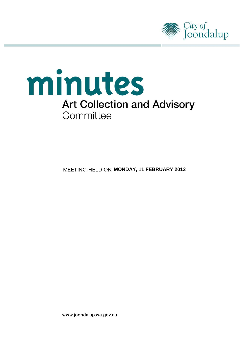



**MEETING HELD ON MONDAY, 11 FEBRUARY 2013** 

www.joondalup.wa.gov.au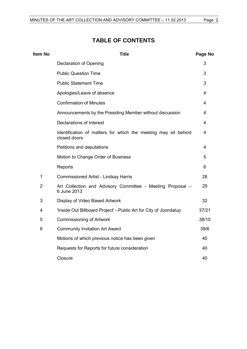## **TABLE OF CONTENTS**

| <b>Item No</b> | <b>Title</b>                                                                   | Page No |
|----------------|--------------------------------------------------------------------------------|---------|
|                | Declaration of Opening                                                         | 3       |
|                | <b>Public Question Time</b>                                                    | 3       |
|                | <b>Public Statement Time</b>                                                   | 3       |
|                | Apologies/Leave of absence                                                     | 4       |
|                | <b>Confirmation of Minutes</b>                                                 | 4       |
|                | Announcements by the Presiding Member without discussion                       | 4       |
|                | Declarations of Interest                                                       | 4       |
|                | Identification of matters for which the meeting may sit behind<br>closed doors | 4       |
|                | Petitions and deputations                                                      | 4       |
|                | Motion to Change Order of Business                                             | 5       |
|                | Reports                                                                        | 6       |
| $\mathbf{1}$   | <b>Commissioned Artist - Lindsay Harris</b>                                    | 28      |
| $\overline{2}$ | Art Collection and Advisory Committee - Meeting Proposal -<br>6 June 2013      | 29      |
| 3              | Display of Video Based Artwork                                                 | 32      |
| 4              | 'Inside Out Billboard Project' - Public Art for City of Joondalup              | 37/21   |
| 5              | <b>Commissioning of Artwork</b>                                                | 38/15   |
| 6              | <b>Community Invitation Art Award</b>                                          | 39/6    |
|                | Motions of which previous notice has been given                                | 40      |
|                | Requests for Reports for future consideration                                  | 40      |
|                | Closure                                                                        | 40      |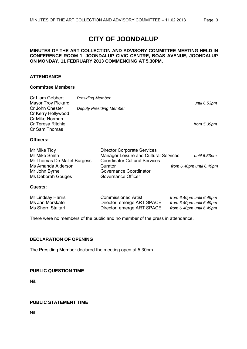# **CITY OF JOONDALUP**

#### **MINUTES OF THE ART COLLECTION AND ADVISORY COMMITTEE MEETING HELD IN CONFERENCE ROOM 1, JOONDALUP CIVIC CENTRE, BOAS AVENUE, JOONDALUP ON MONDAY, 11 FEBRUARY 2013 COMMENCING AT 5.30PM.**

#### **ATTENDANCE**

#### **Committee Members**

| Cr Liam Gobbert<br><b>Mayor Troy Pickard</b>                 | <b>Presiding Member</b>                                                                                             | until 6.53pm |
|--------------------------------------------------------------|---------------------------------------------------------------------------------------------------------------------|--------------|
| Cr John Chester<br>Cr Kerry Hollywood<br>Cr Mike Norman      | <b>Deputy Presiding Member</b>                                                                                      |              |
| Cr Teresa Ritchie<br>Cr Sam Thomas                           |                                                                                                                     | from 5.39pm  |
| <b>Officers:</b>                                             |                                                                                                                     |              |
| Mr Mike Tidy<br>Mr Mike Smith<br>Mr Thomas De Mallet Burgess | <b>Director Corporate Services</b><br>Manager Leisure and Cultural Services<br><b>Coordinator Cultural Services</b> | until 6.53pm |

Ms Amanda Alderson Curator *from 6.40pm until 6.49pm*

#### **Guests:**

| Mr Lindsay Harris  | <b>Commissioned Artist</b> | from 6.40pm until 6.49pm |
|--------------------|----------------------------|--------------------------|
| Ms Jan Morskate    | Director, emerge ART SPACE | from 6.40pm until 6.49pm |
| Ms Sherri Staltari | Director, emerge ART SPACE | from 6.40pm until 6.49pm |

There were no members of the public and no member of the press in attendance.

#### <span id="page-2-0"></span>**DECLARATION OF OPENING**

The Presiding Member declared the meeting open at 5.30pm.

Mr John Byrne Governance Coordinator Ms Deborah Gouges Governance Officer

#### <span id="page-2-1"></span>**PUBLIC QUESTION TIME**

Nil.

#### <span id="page-2-2"></span>**PUBLIC STATEMENT TIME**

Nil.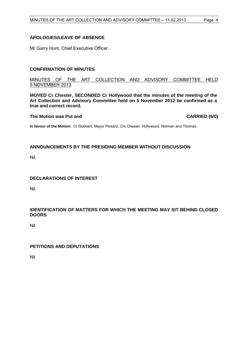### <span id="page-3-0"></span>**APOLOGIES/LEAVE OF ABSENCE**

Mr Garry Hunt, Chief Executive Officer.

#### <span id="page-3-1"></span>**CONFIRMATION OF MINUTES**

MINUTES OF THE ART COLLECTION AND ADVISORY COMMITTEE HELD 5 NOVEMBER 2013

**MOVED Cr Chester, SECONDED Cr Hollywood that the minutes of the meeting of the Art Collection and Advisory Committee held on 5 November 2012 be confirmed as a true and correct record.**

#### **The Motion was Put and CARRIED (6/0)**

**In favour of the Motion:** Cr Gobbert, Mayor Pickard, Crs Chester, Hollywood, Norman and Thomas.

#### <span id="page-3-2"></span>**ANNOUNCEMENTS BY THE PRESIDING MEMBER WITHOUT DISCUSSION**

Nil.

#### <span id="page-3-3"></span>**DECLARATIONS OF INTEREST**

Nil.

#### <span id="page-3-4"></span>**IDENTIFICATION OF MATTERS FOR WHICH THE MEETING MAY SIT BEHIND CLOSED DOORS**

Nil.

### <span id="page-3-5"></span>**PETITIONS AND DEPUTATIONS**

Nil.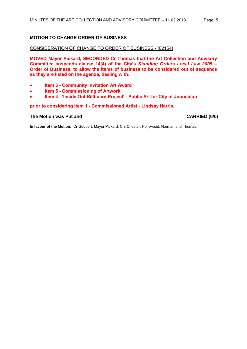### <span id="page-4-0"></span>**MOTION TO CHANGE ORDER OF BUSINESS**

#### CONSIDERATION OF CHANGE TO ORDER OF BUSINESS - [02154]

**MOVED Mayor Pickard, SECONDED Cr Thomas that the Art Collection and Advisory Committee suspends clause 14(4) of the City's** *Standing Orders Local Law 2005* **– Order of Business, to allow the items of business to be considered out of sequence as they are listed on the agenda, dealing with:**

- **Item 6 - Community Invitation Art Award**
- **Item 5 - Commissioning of Artwork**
- **Item 4 - 'Inside Out Billboard Project' - Public Art for City of Joondalup**

#### **prior to considering Item 1 - Commissioned Artist - Lindsay Harris.**

#### **The Motion was Put and CARRIED (6/0)**

**In favour of the Motion:** Cr Gobbert, Mayor Pickard, Crs Chester, Hollywood, Norman and Thomas.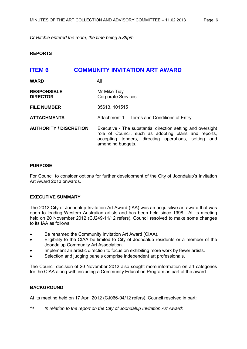*Cr Ritchie entered the room, the time being 5.39pm.*

#### <span id="page-5-0"></span>**REPORTS**

# <span id="page-5-1"></span>**ITEM 6 COMMUNITY INVITATION ART AWARD WARD** All **RESPONSIBLE** Mr Mike Tidy **DIRECTOR** Corporate Services **FILE NUMBER** 35613, 101515 **ATTACHMENTS** Attachment 1 Terms and Conditions of Entry **AUTHORITY / DISCRETION** Executive - The substantial direction setting and oversight role of Council, such as adopting plans and reports, accepting tenders, directing operations, setting and amending budgets.

#### **PURPOSE**

For Council to consider options for further development of the City of Joondalup's Invitation Art Award 2013 onwards.

#### **EXECUTIVE SUMMARY**

The 2012 City of Joondalup Invitation Art Award (IAA) was an acquisitive art award that was open to leading Western Australian artists and has been held since 1998. At its meeting held on 20 November 2012 (CJ249-11/12 refers), Council resolved to make some changes to its IAA as follows:

- Be renamed the Community Invitation Art Award (CIAA).
- Eligibility to the CIAA be limited to City of Joondalup residents or a member of the Joondalup Community Art Association.
- Implement an artistic direction to focus on exhibiting more work by fewer artists.
- Selection and judging panels comprise independent art professionals.

The Council decision of 20 November 2012 also sought more information on art categories for the CIAA along with including a Community Education Program as part of the award.

#### **BACKGROUND**

At its meeting held on 17 April 2012 (CJ066-04/12 refers), Council resolved in part:

*"4 In relation to the report on the City of Joondalup Invitation Art Award:*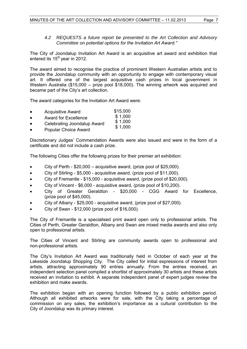### *4.2 REQUESTS a future report be presented to the Art Collection and Advisory Committee on potential options for the Invitation Art Award."*

The City of Joondalup Invitation Art Award is an acquisitive art award and exhibition that entered its 15<sup>th</sup> year in 2012.

The award aimed to recognise the practice of prominent Western Australian artists and to provide the Joondalup community with an opportunity to engage with contemporary visual art. It offered one of the largest acquisitive cash prizes in local government in Western Australia (\$15,000 – prize pool \$18,000). The winning artwork was acquired and became part of the City's art collection.

The award categories for the Invitation Art Award were:

- Acquisitive Award \$15,000
- Award for Excellence \$ 1,000
- Celebrating Joondalup Award \$ 1,000 \$ 1,000
- Popular Choice Award

Discretionary Judges' Commendation Awards were also issued and were in the form of a certificate and did not include a cash prize.

The following Cities offer the following prizes for their premier art exhibition:

- City of Perth \$20,000 acquisitive award, (prize pool of \$25,000).
- City of Stirling \$5,000 acquisitive award, (prize pool of \$11,000).
- City of Fremantle \$15,000 acquisitive award, (prize pool of \$20,000).
- City of Vincent \$6,000 acquisitive award, (prize pool of \$10,200).
- City of Greater Geraldton \$20,000 CGG Award for Excellence, (prize pool of \$45,000).
- City of Albany \$25,000 acquisitive award, (prize pool of \$27,000).
- City of Swan \$12,000 (prize pool of \$16,000).

The City of Fremantle is a specialised print award open only to professional artists. The Cities of Perth, Greater Geraldton, Albany and Swan are mixed media awards and also only open to professional artists.

The Cities of Vincent and Stirling are community awards open to professional and non-professional artists.

The City's Invitation Art Award was traditionally held in October of each year at the Lakeside Joondalup Shopping City. The City called for initial expressions of interest from artists, attracting approximately 90 entries annually. From the entries received, an independent selection panel compiled a shortlist of approximately 30 artists and these artists received an invitation to exhibit. A separate independent panel of expert judges review the exhibition and make awards.

The exhibition began with an opening function followed by a public exhibition period. Although all exhibited artworks were for sale, with the City taking a percentage of commission on any sales, the exhibition's importance as a cultural contribution to the City of Joondalup was its primary interest.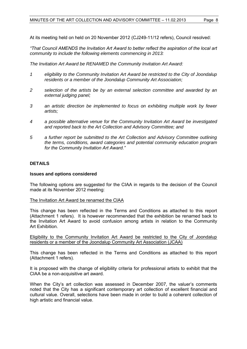At its meeting held on held on 20 November 2012 (CJ249-11/12 refers), Council resolved:

*"That Council AMENDS the Invitation Art Award to better reflect the aspiration of the local art community to include the following elements commencing in 2013:* 

*The Invitation Art Award be RENAMED the Community Invitation Art Award:*

- *1 eligibility to the Community Invitation Art Award be restricted to the City of Joondalup residents or a member of the Joondalup Community Art Association;*
- *2 selection of the artists be by an external selection committee and awarded by an external judging panel;*
- *3 an artistic direction be implemented to focus on exhibiting multiple work by fewer artists;*
- *4 a possible alternative venue for the Community Invitation Art Award be investigated and reported back to the Art Collection and Advisory Committee; and*
- *5 a further report be submitted to the Art Collection and Advisory Committee outlining the terms, conditions, award categories and potential community education program for the Community Invitation Art Award."*

#### **DETAILS**

#### **Issues and options considered**

The following options are suggested for the CIAA in regards to the decision of the Council made at its November 2012 meeting:

#### The Invitation Art Award be renamed the CIAA

This change has been reflected in the Terms and Conditions as attached to this report (Attachment 1 refers). It is however recommended that the exhibition be renamed back to the Invitation Art Award to avoid confusion among artists in relation to the Community Art Exhibition.

Eligibility to the Community Invitation Art Award be restricted to the City of Joondalup residents or a member of the Joondalup Community Art Association (JCAA)

This change has been reflected in the Terms and Conditions as attached to this report (Attachment 1 refers).

It is proposed with the change of eligibility criteria for professional artists to exhibit that the CIAA be a non-acquisitive art award.

When the City's art collection was assessed in December 2007, the valuer's comments noted that the City has a significant contemporary art collection of excellent financial and cultural value. Overall, selections have been made in order to build a coherent collection of high artistic and financial value.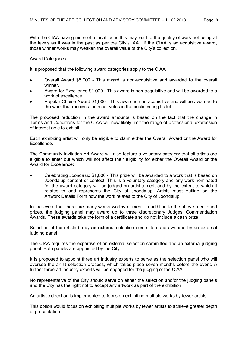With the CIAA having more of a local focus this may lead to the quality of work not being at the levels as it was in the past as per the City's IAA. If the CIAA is an acquisitive award, those winner works may weaken the overall value of the City's collection.

#### Award Categories

It is proposed that the following award categories apply to the CIAA:

- Overall Award \$5,000 This award is non-acquisitive and awarded to the overall winner.
- Award for Excellence \$1,000 This award is non-acquisitive and will be awarded to a work of excellence.
- Popular Choice Award \$1,000 This award is non-acquisitive and will be awarded to the work that receives the most votes in the public voting ballot.

The proposed reduction in the award amounts is based on the fact that the change in Terms and Conditions for the CIAA will now likely limit the range of professional expression of interest able to exhibit.

Each exhibiting artist will only be eligible to claim either the Overall Award or the Award for **Excellence** 

The Community Invitation Art Award will also feature a voluntary category that all artists are eligible to enter but which will not affect their eligibility for either the Overall Award or the Award for Excellence:

 Celebrating Joondalup \$1,000 - This prize will be awarded to a work that is based on Joondalup content or context. This is a voluntary category and any work nominated for the award category will be judged on artistic merit and by the extent to which it relates to and represents the City of Joondalup. Artists must outline on the Artwork Details Form how the work relates to the City of Joondalup.

In the event that there are many works worthy of merit, in addition to the above mentioned prizes, the judging panel may award up to three discretionary Judges' Commendation Awards. These awards take the form of a certificate and do not include a cash prize.

#### Selection of the artists be by an external selection committee and awarded by an external judging panel

The CIAA requires the expertise of an external selection committee and an external judging panel. Both panels are appointed by the City.

It is proposed to appoint three art industry experts to serve as the selection panel who will oversee the artist selection process, which takes place seven months before the event. A further three art industry experts will be engaged for the judging of the CIAA.

No representative of the City should serve on either the selection and/or the judging panels and the City has the right not to accept any artwork as part of the exhibition.

#### An artistic direction is implemented to focus on exhibiting multiple works by fewer artists

This option would focus on exhibiting multiple works by fewer artists to achieve greater depth of presentation.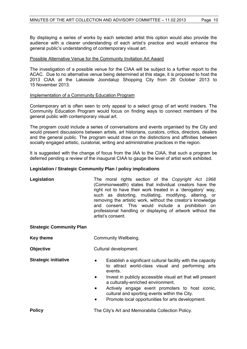By displaying a series of works by each selected artist this option would also provide the audience with a clearer understanding of each artist's practice and would enhance the general public's understanding of contemporary visual art.

#### Possible Alternative Venue for the Community Invitation Art Award

The investigation of a possible venue for the CIAA will be subject to a further report to the ACAC. Due to no alternative venue being determined at this stage, it is proposed to host the 2013 CIAA at the Lakeside Joondalup Shopping City from 26 October 2013 to 15 November 2013.

#### Implementation of a Community Education Program

Contemporary art is often seen to only appeal to a select group of art world insiders. The Community Education Program would focus on finding ways to connect members of the general public with contemporary visual art.

The program could include a series of conversations and events organised by the City and would present discussions between artists, art historians, curators, critics, directors, dealers and the general public. The program would draw on the distinctions and affinities between socially engaged artistic, curatorial, writing and administrative practices in the region.

It is suggested with the change of focus from the IAA to the CIAA, that such a program be deferred pending a review of the inaugural CIAA to gauge the level of artist work exhibited.

#### **Legislation / Strategic Community Plan / policy implications**

**Legislation** The moral rights section of the *Copyright Act 1968*  (Commonwealth) states that individual creators have the right not to have their work treated in a 'derogatory' way, such as distorting, mutilating, modifying, altering, or removing the artistic work, without the creator's knowledge and consent. This would include a prohibition on professional handling or displaying of artwork without the artist's consent.

#### **Strategic Community Plan**

| <b>Key theme</b> | <b>Community Wellbeing.</b> |
|------------------|-----------------------------|
|------------------|-----------------------------|

**Objective** Cultural development.

- **Strategic initiative**  $\bullet$  Establish a significant cultural facility with the capacity to attract world-class visual and performing arts events.
	- Invest in publicly accessible visual art that will present a culturally-enriched environment.
	- Actively engage event promoters to host iconic, cultural and sporting events within the City.
	- Promote local opportunities for arts development.

**Policy The City's Art and Memorabilia Collection Policy.**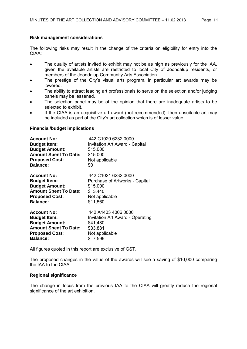#### **Risk management considerations**

The following risks may result in the change of the criteria on eligibility for entry into the CIAA:

- The quality of artists invited to exhibit may not be as high as previously for the IAA, given the available artists are restricted to local City of Joondalup residents, or members of the Joondalup Community Arts Association.
- The prestige of the City's visual arts program, in particular art awards may be lowered.
- The ability to attract leading art professionals to serve on the selection and/or judging panels may be lessened.
- The selection panel may be of the opinion that there are inadequate artists to be selected to exhibit.
- If the CIAA is an acquisitive art award (not recommended), then unsuitable art may be included as part of the City's art collection which is of lesser value.

#### **Financial/budget implications**

| <b>Account No:</b>           | 442 C1020 6232 0000                     |
|------------------------------|-----------------------------------------|
| <b>Budget Item:</b>          | <b>Invitation Art Award - Capital</b>   |
| <b>Budget Amount:</b>        | \$15,000                                |
| <b>Amount Spent To Date:</b> | \$15,000                                |
| <b>Proposed Cost:</b>        | Not applicable                          |
| <b>Balance:</b>              | \$0                                     |
| <b>Account No:</b>           | 442 C1021 6232 0000                     |
| <b>Budget Item:</b>          | Purchase of Artworks - Capital          |
| <b>Budget Amount:</b>        | \$15,000                                |
| <b>Amount Spent To Date:</b> | \$3,440                                 |
| <b>Proposed Cost:</b>        | Not applicable                          |
| <b>Balance:</b>              | \$11,560                                |
| <b>Account No:</b>           | 442 A4403 4006 0000                     |
| <b>Budget Item:</b>          | <b>Invitation Art Award - Operating</b> |
| <b>Budget Amount:</b>        | \$41,480                                |
| <b>Amount Spent To Date:</b> | \$33,881                                |
| <b>Proposed Cost:</b>        | Not applicable                          |
| <b>Balance:</b>              | \$7,599                                 |

All figures quoted in this report are exclusive of GST.

The proposed changes in the value of the awards will see a saving of \$10,000 comparing the IAA to the CIAA.

#### **Regional significance**

The change in focus from the previous IAA to the CIAA will greatly reduce the regional significance of the art exhibition.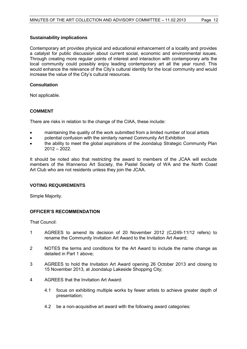#### **Sustainability implications**

Contemporary art provides physical and educational enhancement of a locality and provides a catalyst for public discussion about current social, economic and environmental issues. Through creating more regular points of interest and interaction with contemporary arts the local community could possibly enjoy leading contemporary art all the year round. This would enhance the relevance of the City's cultural identity for the local community and would increase the value of the City's cultural resources.

### **Consultation**

Not applicable.

#### **COMMENT**

There are risks in relation to the change of the CIAA, these include:

- maintaining the quality of the work submitted from a limited number of local artists
- potential confusion with the similarly named Community Art Exhibition
- the ability to meet the global aspirations of the Joondalup Strategic Community Plan  $2012 - 2022$

It should be noted also that restricting the award to members of the JCAA will exclude members of the Wanneroo Art Society, the Pastel Society of WA and the North Coast Art Club who are not residents unless they join the JCAA.

#### **VOTING REQUIREMENTS**

Simple Majority.

#### **OFFICER'S RECOMMENDATION**

That Council:

- 1 AGREES to amend its decision of 20 November 2012 (CJ249-11/12 refers) to rename the Community Invitation Art Award to the Invitation Art Award;
- 2 NOTES the terms and conditions for the Art Award to include the name change as detailed in Part 1 above;
- 3 AGREES to hold the Invitation Art Award opening 26 October 2013 and closing to 15 November 2013, at Joondalup Lakeside Shopping City;
- 4 AGREES that the Invitation Art Award:
	- 4.1 focus on exhibiting multiple works by fewer artists to achieve greater depth of presentation;
	- 4.2 be a non-acquisitive art award with the following award categories: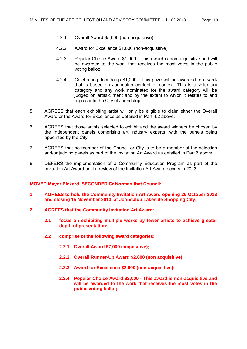- 4.2.1 Overall Award \$5,000 (non-acquisitive);
- 4.2.2 Award for Excellence \$1,000 (non-acquisitive);
- 4.2.3 Popular Choice Award \$1,000 This award is non-acquisitive and will be awarded to the work that receives the most votes in the public voting ballot;
- 4.2.4 Celebrating Joondalup \$1,000 This prize will be awarded to a work that is based on Joondalup content or context. This is a voluntary category and any work nominated for the award category will be judged on artistic merit and by the extent to which it relates to and represents the City of Joondalup;
- 5 AGREES that each exhibiting artist will only be eligible to claim either the Overall Award or the Award for Excellence as detailed in Part 4.2 above;
- 6 AGREES that those artists selected to exhibit and the award winners be chosen by the independent panels comprising art industry experts, with the panels being appointed by the City;
- 7 AGREES that no member of the Council or City is to be a member of the selection and/or judging panels as part of the Invitation Art Award as detailed in Part 6 above;
- 8 DEFERS the implementation of a Community Education Program as part of the Invitation Art Award until a review of the Invitation Art Award occurs in 2013.

#### **MOVED Mayor Pickard, SECONDED Cr Norman that Council:**

- **1 AGREES to hold the Community Invitation Art Award opening 26 October 2013 and closing 15 November 2013, at Joondalup Lakeside Shopping City;**
- **2 AGREES that the Community Invitation Art Award:** 
	- **2.1 focus on exhibiting multiple works by fewer artists to achieve greater depth of presentation;**
	- **2.2 comprise of the following award categories:** 
		- **2.2.1 Overall Award \$7,000 (acquisitive);**
		- **2.2.2 Overall Runner-Up Award \$2,000 (non acquisitive);**
		- **2.2.3 Award for Excellence \$2,000 (non-acquisitive);**
		- **2.2.4 Popular Choice Award \$2,000 - This award is non-acquisitive and will be awarded to the work that receives the most votes in the public voting ballot;**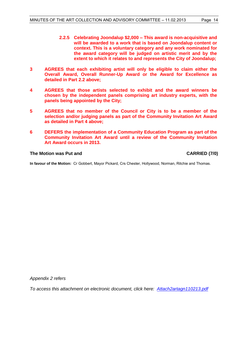- **2.2.5 Celebrating Joondalup \$2,000 – This award is non-acquisitive and will be awarded to a work that is based on Joondalup content or context. This is a voluntary category and any work nominated for the award category will be judged on artistic merit and by the extent to which it relates to and represents the City of Joondalup;**
- **3 AGREES that each exhibiting artist will only be eligible to claim either the Overall Award, Overall Runner-Up Award or the Award for Excellence as detailed in Part 2.2 above;**
- **4 AGREES that those artists selected to exhibit and the award winners be chosen by the independent panels comprising art industry experts, with the panels being appointed by the City;**
- **5 AGREES that no member of the Council or City is to be a member of the selection and/or judging panels as part of the Community Invitation Art Award as detailed in Part 4 above;**
- **6 DEFERS the implementation of a Community Education Program as part of the Community Invitation Art Award until a review of the Community Invitation Art Award occurs in 2013.**

#### **The Motion was Put and CARRIED (7/0)**

**In favour of the Motion:** Cr Gobbert, Mayor Pickard, Crs Chester, Hollywood, Norman, Ritchie and Thomas.

*Appendix 2 refers*

*To access this attachment on electronic document, click [here: Attach2artagn110213.pdf](Attach2artagn110213.pdf)*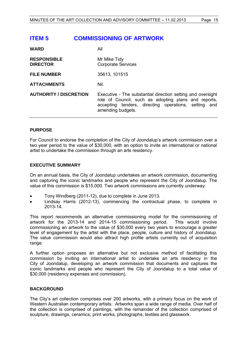## <span id="page-14-0"></span>**ITEM 5 COMMISSIONING OF ARTWORK**

| <b>WARD</b>                           | All                                                                                                                                                                                              |
|---------------------------------------|--------------------------------------------------------------------------------------------------------------------------------------------------------------------------------------------------|
| <b>RESPONSIBLE</b><br><b>DIRECTOR</b> | Mr Mike Tidy<br><b>Corporate Services</b>                                                                                                                                                        |
| <b>FILE NUMBER</b>                    | 35613, 101515                                                                                                                                                                                    |
| <b>ATTACHMENTS</b>                    | Nil.                                                                                                                                                                                             |
| <b>AUTHORITY / DISCRETION</b>         | Executive - The substantial direction setting and oversight<br>role of Council, such as adopting plans and reports,<br>accepting tenders, directing operations, setting and<br>amending budgets. |

#### **PURPOSE**

For Council to endorse the completion of the City of Joondalup's artwork commission over a two year period to the value of \$30,000, with an option to invite an international or national artist to undertake the commission through an arts residency.

#### **EXECUTIVE SUMMARY**

On an annual basis, the City of Joondalup undertakes an artwork commission, documenting and capturing the iconic landmarks and people who represent the City of Joondalup. The value of this commission is \$15,000. Two artwork commissions are currently underway:

- Tony Windberg (2011-12), due to complete in June 2013.
- Lindsay Harris (2012-13), commencing the contractual phase, to complete in 2013-14.

This report recommends an alternative commissioning model for the commissioning of artwork for the 2013-14 and 2014-15 commissioning period. This would involve commissioning an artwork to the value of \$30,000 every two years to encourage a greater level of engagement by the artist with the place, people, culture and history of Joondalup. The value commission would also attract high profile artists currently out of acquisition range.

A further option proposes an alternative but not exclusive method of facilitating this commission by inviting an international artist to undertake an arts residency in the City of Joondalup, developing an artwork commission that documents and captures the iconic landmarks and people who represent the City of Joondalup to a total value of \$30,000 (residency expenses and commission).

#### **BACKGROUND**

The City's art collection comprises over 200 artworks, with a primary focus on the work of Western Australian contemporary artists. Artworks span a wide range of media. Over half of the collection is comprised of paintings, with the remainder of the collection comprised of sculpture, drawings, ceramics, print works, photographs, textiles and glasswork.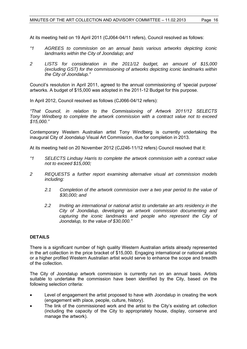At its meeting held on 19 April 2011 (CJ064-04/11 refers), Council resolved as follows:

- *"1 AGREES to commission on an annual basis various artworks depicting iconic landmarks within the City of Joondalup; and*
- *2 LISTS for consideration in the 2011/12 budget, an amount of \$15,000 (excluding GST) for the commissioning of artworks depicting iconic landmarks within the City of Joondalup."*

Council's resolution in April 2011, agreed to the annual commissioning of 'special purpose' artworks. A budget of \$15,000 was adopted in the 2011-12 Budget for this purpose.

In April 2012, Council resolved as follows (CJ066-04/12 refers):

*"That Council, in relation to the Commissioning of Artwork 2011/12 SELECTS Tony Windberg to complete the artwork commission with a contract value not to exceed \$15,000."* 

Contemporary Western Australian artist Tony Windberg is currently undertaking the inaugural City of Joondalup Visual Art Commission, due for completion in 2013.

At its meeting held on 20 November 2012 (CJ246-11/12 refers) Council resolved that it:

- *"1 SELECTS Lindsay Harris to complete the artwork commission with a contract value not to exceed \$15,000;*
- *2 REQUESTS a further report examining alternative visual art commission models including:* 
	- *2.1 Completion of the artwork commission over a two year period to the value of \$30,000; and*
	- *2.2 Inviting an international or national artist to undertake an arts residency in the City of Joondalup, developing an artwork commission documenting and capturing the iconic landmarks and people who represent the City of Joondalup, to the value of \$30,000."*

#### **DETAILS**

There is a significant number of high quality Western Australian artists already represented in the art collection in the price bracket of \$15,000. Engaging international or national artists or a higher profiled Western Australian artist would serve to enhance the scope and breadth of the collection.

The City of Joondalup artwork commission is currently run on an annual basis. Artists suitable to undertake the commission have been identified by the City, based on the following selection criteria:

- Level of engagement the artist proposed to have with Joondalup in creating the work (engagement with place, people, culture, history).
- The link of the commissioned work and the artist to the City's existing art collection (including the capacity of the City to appropriately house, display, conserve and manage the artwork).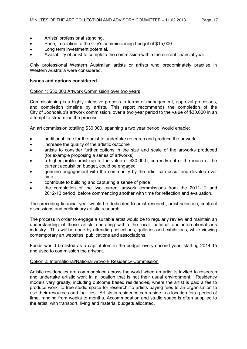- Artists' professional standing.
- Price, in relation to the City's commissioning budget of \$15,000.
- Long term investment potential.
- Availability of artist to complete the commission within the current financial year.

Only professional Western Australian artists or artists who predominately practise in Western Australia were considered.

#### **Issues and options considered**

#### Option 1: \$30,000 Artwork Commission over two years

Commissioning is a highly intensive process in terms of management, approval processes, and completion timeline by artists. This report recommends the completion of the City of Joondalup's artwork commission, over a two year period to the value of \$30,000 in an attempt to streamline the process.

An art commission totalling \$30,000, spanning a two year period, would enable:

- additional time for the artist to undertake research and produce the artwork
- increase the quality of the artistic outcome
- artists to consider further options in the size and scale of the artworks produced (for example proposing a series of artworks)
- a higher profile artist (up to the value of \$30,000), currently out of the reach of the current acquisition budget, could be engaged
- genuine engagement with the community by the artist can occur and develop over time
- contribute to building and capturing a sense of place
- the completion of the two current artwork commissions from the 2011-12 and 2012-13 period, before commencing another with time for reflection and evaluation.

The preceding financial year would be dedicated to artist research, artist selection, contract discussions and preliminary artistic research.

The process in order to engage a suitable artist would be to regularly review and maintain an understanding of those artists operating within the local, national and international arts industry. This will be done by attending collections, galleries and exhibitions, while viewing contemporary art websites, publications and associations.

Funds would be listed as a capital item in the budget every second year, starting 2014-15 and used to commission the artwork.

#### Option 2: International/National Artwork Residency Commission

Artistic residencies are commonplace across the world when an artist is invited to research and undertake artistic work in a location that is not their usual environment. Residency models vary greatly, including outcome based residencies, where the artist is paid a fee to produce work, to free studio space for research, to artists paying fees to an organisation to use their resources and facilities. Artists in residence can reside in a location for a period of time, ranging from weeks to months. Accommodation and studio space is often supplied to the artist, with transport, living and material budgets allocated.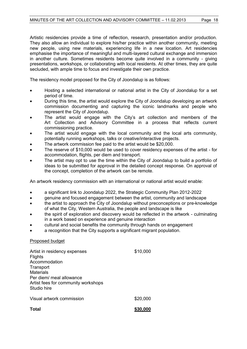Artistic residencies provide a time of reflection, research, presentation and/or production. They also allow an individual to explore his/her practice within another community, meeting new people, using new materials, experiencing life in a new location. Art residencies emphasise the importance of meaningful and multi-layered cultural exchange and immersion in another culture. Sometimes residents become quite involved in a community - giving presentations, workshops, or collaborating with local residents. At other times, they are quite secluded, with ample time to focus and investigate their own practice.

The residency model proposed for the City of Joondalup is as follows:

- Hosting a selected international or national artist in the City of Joondalup for a set period of time.
- During this time, the artist would explore the City of Joondalup developing an artwork commission documenting and capturing the iconic landmarks and people who represent the City of Joondalup.
- The artist would engage with the City's art collection and members of the Art Collection and Advisory Committee in a process that reflects current commissioning practice.
- The artist would engage with the local community and the local arts community, potentially running workshops, talks or creative/interactive projects.
- The artwork commission fee paid to the artist would be \$20,000.
- The reserve of \$10,000 would be used to cover residency expenses of the artist for accommodation, flights, per diem and transport.
- The artist may opt to use the time within the City of Joondalup to build a portfolio of ideas to be submitted for approval in the detailed concept response. On approval of the concept, completion of the artwork can be remote.

An artwork residency commission with an international or national artist would enable:

- a significant link to Joondalup 2022, the Strategic Community Plan 2012-2022
- genuine and focused engagement between the artist, community and landscape
- the artist to approach the City of Joondalup without preconceptions or pre-knowledge of what the City, Western Australia, the people and landscape is like
- the spirit of exploration and discovery would be reflected in the artwork culminating in a work based on experience and genuine interaction
- cultural and social benefits the community through hands on engagement
- a recognition that the City supports a significant migrant population.

#### Proposed budget

| Total                                                                                                                                                                              | \$30,000 |
|------------------------------------------------------------------------------------------------------------------------------------------------------------------------------------|----------|
| Visual artwork commission                                                                                                                                                          | \$20,000 |
| Artist in residency expenses<br><b>Flights</b><br>Accommodation<br>Transport<br><b>Materials</b><br>Per diem/ meal allowance<br>Artist fees for community workshops<br>Studio hire | \$10,000 |
|                                                                                                                                                                                    |          |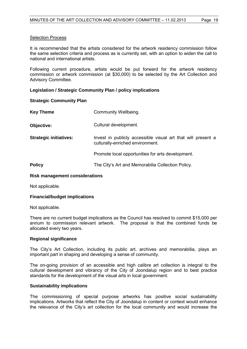#### Selection Process

It is recommended that the artists considered for the artwork residency commission follow the same selection criteria and process as is currently set, with an option to widen the call to national and international artists.

Following current procedure, artists would be put forward for the artwork residency commission or artwork commission (at \$30,000) to be selected by the Art Collection and Advisory Committee.

#### **Legislation / Strategic Community Plan / policy implications**

#### **Strategic Community Plan**

| <b>Key Theme</b>              | Community Wellbeing.                                                                             |
|-------------------------------|--------------------------------------------------------------------------------------------------|
| Objective:                    | Cultural development.                                                                            |
| <b>Strategic initiatives:</b> | Invest in publicly accessible visual art that will present a<br>culturally-enriched environment. |
|                               | Promote local opportunities for arts development.                                                |
| <b>Policy</b>                 | The City's Art and Memorabilia Collection Policy.                                                |

### **Risk management considerations**

Not applicable.

#### **Financial/budget implications**

Not applicable.

There are no current budget implications as the Council has resolved to commit \$15,000 per annum to commission relevant artwork. The proposal is that the combined funds be allocated every two years.

#### **Regional significance**

The City's Art Collection, including its public art, archives and memorabilia, plays an important part in shaping and developing a sense of community.

The on-going provision of an accessible and high calibre art collection is integral to the cultural development and vibrancy of the City of Joondalup region and to best practice standards for the development of the visual arts in local government.

#### **Sustainability implications**

The commissioning of special purpose artworks has positive social sustainability implications. Artworks that reflect the City of Joondalup in content or context would enhance the relevance of the City's art collection for the local community and would increase the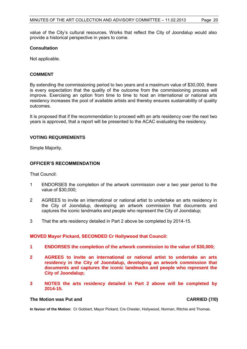value of the City's cultural resources. Works that reflect the City of Joondalup would also provide a historical perspective in years to come.

#### **Consultation**

Not applicable.

#### **COMMENT**

By extending the commissioning period to two years and a maximum value of \$30,000, there is every expectation that the quality of the outcome from the commissioning process will improve. Exercising an option from time to time to host an international or national arts residency increases the pool of available artists and thereby ensures sustainability of quality outcomes.

It is proposed that if the recommendation to proceed with an arts residency over the next two years is approved, that a report will be presented to the ACAC evaluating the residency.

#### **VOTING REQUIREMENTS**

Simple Majority.

#### **OFFICER'S RECOMMENDATION**

That Council:

- 1 ENDORSES the completion of the artwork commission over a two year period to the value of \$30,000;
- 2 AGREES to invite an international or national artist to undertake an arts residency in the City of Joondalup, developing an artwork commission that documents and captures the iconic landmarks and people who represent the City of Joondalup;
- 3 That the arts residency detailed in Part 2 above be completed by 2014-15.

#### **MOVED Mayor Pickard, SECONDED Cr Hollywood that Council:**

- **1 ENDORSES the completion of the artwork commission to the value of \$30,000;**
- **2 AGREES to invite an international or national artist to undertake an arts residency in the City of Joondalup, developing an artwork commission that documents and captures the iconic landmarks and people who represent the City of Joondalup;**
- **3 NOTES the arts residency detailed in Part 2 above will be completed by 2014-15.**

#### **The Motion was Put and CARRIED (7/0)**

**In favour of the Motion:** Cr Gobbert, Mayor Pickard, Crs Chester, Hollywood, Norman, Ritchie and Thomas.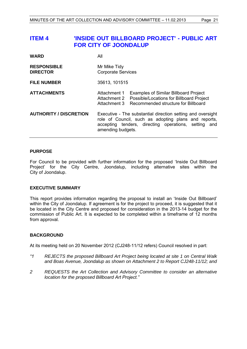## <span id="page-20-0"></span>**ITEM 4 'INSIDE OUT BILLBOARD PROJECT' - PUBLIC ART FOR CITY OF JOONDALUP**

| <b>WARD</b>                           | All                                                                                                                                                                                              |  |
|---------------------------------------|--------------------------------------------------------------------------------------------------------------------------------------------------------------------------------------------------|--|
| <b>RESPONSIBLE</b><br><b>DIRECTOR</b> | Mr Mike Tidy<br><b>Corporate Services</b>                                                                                                                                                        |  |
| <b>FILE NUMBER</b>                    | 35613, 101515                                                                                                                                                                                    |  |
| <b>ATTACHMENTS</b>                    | Attachment 1<br><b>Examples of Similar Billboard Project</b><br>Possible/Locations for Billboard Project<br>Attachment 2<br>Recommended structure for Billboard<br>Attachment 3                  |  |
| <b>AUTHORITY / DISCRETION</b>         | Executive - The substantial direction setting and oversight<br>role of Council, such as adopting plans and reports,<br>accepting tenders, directing operations, setting and<br>amending budgets. |  |

#### **PURPOSE**

For Council to be provided with further information for the proposed 'Inside Out Billboard Project' for the City Centre, Joondalup, including alternative sites within the City of Joondalup.

#### **EXECUTIVE SUMMARY**

This report provides information regarding the proposal to install an 'Inside Out Billboard' within the City of Joondalup. If agreement is for the project to proceed, it is suggested that it be located in the City Centre and proposed for consideration in the 2013-14 budget for the commission of Public Art. It is expected to be completed within a timeframe of 12 months from approval.

#### **BACKGROUND**

At its meeting held on 20 November 2012 (CJ248-11/12 refers) Council resolved in part:

- *"1 REJECTS the proposed Billboard Art Project being located at site 1 on Central Walk and Boas Avenue, Joondalup as shown on Attachment 2 to Report CJ248-11/12; and*
- *2 REQUESTS the Art Collection and Advisory Committee to consider an alternative location for the proposed Billboard Art Project."*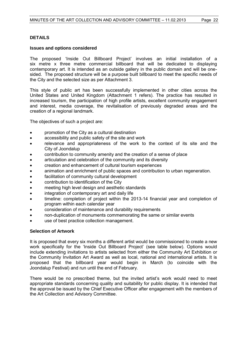#### **DETAILS**

#### **Issues and options considered**

The proposed 'Inside Out Billboard Project' involves an initial installation of a six metre x three metre commercial billboard that will be dedicated to displaying contemporary art. It is intended as an outside gallery in the public domain and will be onesided. The proposed structure will be a purpose built billboard to meet the specific needs of the City and the selected size as per Attachment 3.

This style of public art has been successfully implemented in other cities across the United States and United Kingdom (Attachment 1 refers). The practice has resulted in increased tourism, the participation of high profile artists, excellent community engagement and interest, media coverage, the revitalisation of previously degraded areas and the creation of a regional landmark.

The objectives of such a project are:

- promotion of the City as a cultural destination
- accessibility and public safety of the site and work
- relevance and appropriateness of the work to the context of its site and the City of Joondalup
- contribution to community amenity and the creation of a sense of place
- articulation and celebration of the community and its diversity
- creation and enhancement of cultural tourism experiences
- animation and enrichment of public spaces and contribution to urban regeneration.
- facilitation of community cultural development
- contribution to identification of the City
- meeting high level design and aesthetic standards
- integration of contemporary art and daily life
- timeline: completion of project within the 2013-14 financial year and completion of program within each calendar year
- consideration of maintenance and durability requirements
- non-duplication of monuments commemorating the same or similar events
- use of best practice collection management.

#### **Selection of Artwork**

It is proposed that every six months a different artist would be commissioned to create a new work specifically for the 'Inside Out Billboard Project' (see table below). Options would include extending invitations to artists selected from either the Community Art Exhibition or the Community Invitation Art Award as well as local, national and international artists. It is proposed that the billboard year would begin in March (to coincide with the Joondalup Festival) and run until the end of February.

There would be no prescribed theme, but the invited artist's work would need to meet appropriate standards concerning quality and suitability for public display. It is intended that the approval be issued by the Chief Executive Officer after engagement with the members of the Art Collection and Advisory Committee.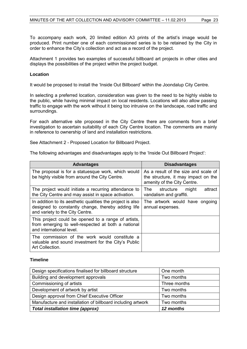To accompany each work, 20 limited edition A3 prints of the artist's image would be produced. Print number one of each commissioned series is to be retained by the City in order to enhance the City's collection and act as a record of the project.

Attachment 1 provides two examples of successful billboard art projects in other cities and displays the possibilities of the project within the project budget.

#### **Location**

It would be proposed to install the 'Inside Out Billboard' within the Joondalup City Centre.

In selecting a preferred location, consideration was given to the need to be highly visible to the public, while having minimal impact on local residents. Locations will also allow passing traffic to engage with the work without it being too intrusive on the landscape, road traffic and surroundings.

For each alternative site proposed in the City Centre there are comments from a brief investigation to ascertain suitability of each City Centre location. The comments are mainly in reference to ownership of land and installation restrictions.

See Attachment 2 - Proposed Location for Billboard Project.

The following advantages and disadvantages apply to the 'Inside Out Billboard Project':

| <b>Advantages</b>                                                                                                                                   | <b>Disadvantages</b>                                                                                       |
|-----------------------------------------------------------------------------------------------------------------------------------------------------|------------------------------------------------------------------------------------------------------------|
| The proposal is for a statuesque work, which would<br>be highly visible from around the City Centre.                                                | As a result of the size and scale of<br>the structure, it may impact on the<br>amenity of the City Centre. |
| The project would initiate a recurring attendance to<br>the City Centre and may assist in space activation.                                         | attract<br>The structure<br>might<br>vandalism and graffiti.                                               |
| In addition to its aesthetic qualities the project is also<br>designed to constantly change, thereby adding life<br>and variety to the City Centre. | The artwork would have ongoing<br>annual expenses.                                                         |
| This project could be opened to a range of artists,<br>from emerging to well-respected at both a national<br>and international level.               |                                                                                                            |
| The commission of the work would constitute a<br>valuable and sound investment for the City's Public<br>Art Collection.                             |                                                                                                            |

#### **Timeline**

| Design specifications finalised for billboard structure     | One month    |
|-------------------------------------------------------------|--------------|
| Building and development approvals                          | Two months   |
| Commissioning of artists                                    | Three months |
| Development of artwork by artist                            | Two months   |
| Design approval from Chief Executive Officer                | Two months   |
| Manufacture and installation of billboard including artwork | Two months   |
| <b>Total installation time (approx)</b>                     | 12 months    |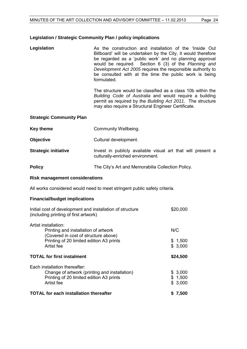#### **Legislation / Strategic Community Plan / policy implications**

Legislation **As the construction and installation of the 'Inside Out** Billboard' will be undertaken by the City, it would therefore be regarded as a 'public work' and no planning approval would be required. Section 6 (3) of the *Planning and Development Act 2005* requires the responsible authority to be consulted with at the time the public work is being formulated.

> The structure would be classified as a class 10b within the *Building Code of Australia* and would require a building permit as required by the *Building Act 2011.* The structure may also require a Structural Engineer Certificate.

|  | <b>Strategic Community Plan</b> |
|--|---------------------------------|
|--|---------------------------------|

| <b>Key theme</b>            | Community Wellbeing.                                                                            |
|-----------------------------|-------------------------------------------------------------------------------------------------|
| <b>Objective</b>            | Cultural development.                                                                           |
| <b>Strategic initiative</b> | Invest in publicly available visual art that will present a<br>culturally-enriched environment. |

**Policy The City's Art and Memorabilia Collection Policy.** 

# **Risk management considerations**

All works considered would need to meet stringent public safety criteria.

#### **Financial/budget implications**

| Initial cost of development and installation of structure<br>(including printing of first artwork)   | \$20,000           |
|------------------------------------------------------------------------------------------------------|--------------------|
| Artist installation:<br>Printing and installation of artwork<br>(Covered in cost of structure above) | N/C                |
| Printing of 20 limited edition A3 prints<br>Artist fee                                               | \$1,500<br>\$3,000 |
|                                                                                                      |                    |
| <b>TOTAL for first instalment</b>                                                                    | \$24,500           |
| Each installation thereafter:                                                                        |                    |
| Change of artwork (printing and installation)                                                        | \$3,000            |
| Printing of 20 limited edition A3 prints                                                             | \$1,500            |
| Artist fee                                                                                           | \$3,000            |
| <b>TOTAL for each installation thereafter</b>                                                        | \$7,500            |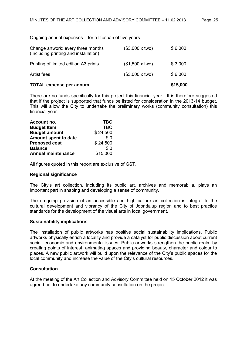#### Ongoing annual expenses – for a lifespan of five years

| <b>TOTAL expense per annum</b>                                              |                       | \$15,000 |
|-----------------------------------------------------------------------------|-----------------------|----------|
| Artist fees                                                                 | $($3,000 \times two)$ | \$6,000  |
| Printing of limited edition A3 prints                                       | $($1,500 \times two)$ | \$3,000  |
| Change artwork: every three months<br>(Including printing and installation) | $($3,000 \times two)$ | \$6,000  |

There are no funds specifically for this project this financial year. It is therefore suggested that if the project is supported that funds be listed for consideration in the 2013-14 budget. This will allow the City to undertake the preliminary works (community consultation) this financial year.

| Account no.               | <b>TBC</b> |
|---------------------------|------------|
| <b>Budget Item</b>        | <b>TBC</b> |
| <b>Budget amount</b>      | \$24,500   |
| Amount spent to date      | \$0        |
| <b>Proposed cost</b>      | \$24,500   |
| <b>Balance</b>            | \$0        |
| <b>Annual maintenance</b> | \$15,000   |

All figures quoted in this report are exclusive of GST.

#### **Regional significance**

The City's art collection, including its public art, archives and memorabilia, plays an important part in shaping and developing a sense of community.

The on-going provision of an accessible and high calibre art collection is integral to the cultural development and vibrancy of the City of Joondalup region and to best practice standards for the development of the visual arts in local government.

#### **Sustainability implications**

The installation of public artworks has positive social sustainability implications. Public artworks physically enrich a locality and provide a catalyst for public discussion about current social, economic and environmental issues. Public artworks strengthen the public realm by creating points of interest, animating spaces and providing beauty, character and colour to places. A new public artwork will build upon the relevance of the City's public spaces for the local community and increase the value of the City's cultural resources.

#### **Consultation**

At the meeting of the Art Collection and Advisory Committee held on 15 October 2012 it was agreed not to undertake any community consultation on the project.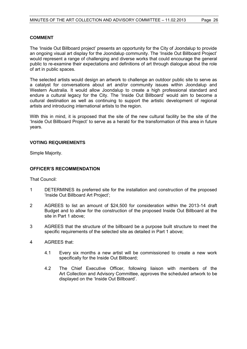#### **COMMENT**

The 'Inside Out Billboard project' presents an opportunity for the City of Joondalup to provide an ongoing visual art display for the Joondalup community. The 'Inside Out Billboard Project' would represent a range of challenging and diverse works that could encourage the general public to re-examine their expectations and definitions of art through dialogue about the role of art in public spaces.

The selected artists would design an artwork to challenge an outdoor public site to serve as a catalyst for conversations about art and/or community issues within Joondalup and Western Australia. It would allow Joondalup to create a high professional standard and endure a cultural legacy for the City. The 'Inside Out Billboard' would aim to become a cultural destination as well as continuing to support the artistic development of regional artists and introducing international artists to the region.

With this in mind, it is proposed that the site of the new cultural facility be the site of the 'Inside Out Billboard Project' to serve as a herald for the transformation of this area in future years.

#### **VOTING REQUIREMENTS**

Simple Majority.

#### **OFFICER'S RECOMMENDATION**

That Council:

- 1 DETERMINES its preferred site for the installation and construction of the proposed 'Inside Out Billboard Art Project';
- 2 AGREES to list an amount of \$24,500 for consideration within the 2013-14 draft Budget and to allow for the construction of the proposed Inside Out Billboard at the site in Part 1 above;
- 3 AGREES that the structure of the billboard be a purpose built structure to meet the specific requirements of the selected site as detailed in Part 1 above;
- 4 AGREES that:
	- 4.1 Every six months a new artist will be commissioned to create a new work specifically for the Inside Out Billboard;
	- 4.2 The Chief Executive Officer, following liaison with members of the Art Collection and Advisory Committee, approves the scheduled artwork to be displayed on the 'Inside Out Billboard'.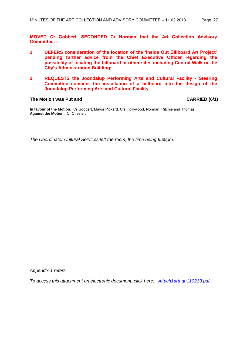**MOVED Cr Gobbert, SECONDED Cr Norman that the Art Collection Advisory Committee:**

- **1 DEFERS consideration of the location of the 'Inside Out Billboard Art Project' pending further advice from the Chief Executive Officer regarding the possibility of locating the billboard at other sites including Central Walk or the City's Administration Building;**
- **2 REQUESTS the Joondalup Performing Arts and Cultural Facility - Steering Committee consider the installation of a billboard into the design of the Joondalup Performing Arts and Cultural Facility.**

#### **The Motion was Put and CARRIED (6/1)**

**In favour of the Motion:** Cr Gobbert, Mayor Pickard, Crs Hollywood, Norman, Ritchie and Thomas. **Against the Motion:** Cr Chester.

*The Coordinator Cultural Services left the room, the time being 6.39pm.* 

*Appendix 1 refers*

*To access this attachment on electronic document, click he[re: Attach1artagn110213.pdf](Attach1artagn110213.pdf)*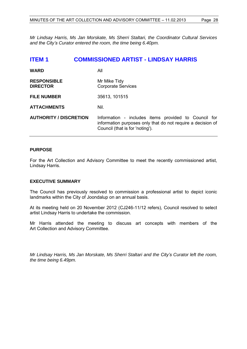*Mr Lindsay Harris, Ms Jan Morskate, Ms Sherri Staltari, the Coordinator Cultural Services and the City's Curator entered the room, the time being 6.40pm.* 

<span id="page-27-0"></span>

| <b>ITEM1</b>                          | <b>COMMISSIONED ARTIST - LINDSAY HARRIS</b>                                                                                                            |
|---------------------------------------|--------------------------------------------------------------------------------------------------------------------------------------------------------|
| <b>WARD</b>                           | All                                                                                                                                                    |
| <b>RESPONSIBLE</b><br><b>DIRECTOR</b> | Mr Mike Tidy<br><b>Corporate Services</b>                                                                                                              |
| <b>FILE NUMBER</b>                    | 35613, 101515                                                                                                                                          |
| <b>ATTACHMENTS</b>                    | Nil.                                                                                                                                                   |
| <b>AUTHORITY / DISCRETION</b>         | Information - includes items provided to Council for<br>information purposes only that do not require a decision of<br>Council (that is for 'noting'). |

#### **PURPOSE**

For the Art Collection and Advisory Committee to meet the recently commissioned artist, Lindsay Harris.

#### **EXECUTIVE SUMMARY**

The Council has previously resolved to commission a professional artist to depict iconic landmarks within the City of Joondalup on an annual basis.

At its meeting held on 20 November 2012 (CJ246-11/12 refers), Council resolved to select artist Lindsay Harris to undertake the commission.

Mr Harris attended the meeting to discuss art concepts with members of the Art Collection and Advisory Committee.

*Mr Lindsay Harris, Ms Jan Morskate, Ms Sherri Staltari and the City's Curator left the room, the time being 6.49pm.*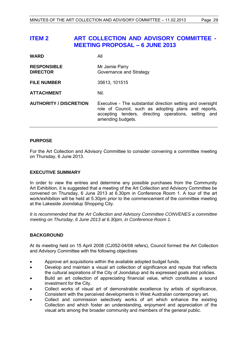## <span id="page-28-0"></span>**ITEM 2 ART COLLECTION AND ADVISORY COMMITTEE - MEETING PROPOSAL – 6 JUNE 2013**

| <b>WARD</b>                           | All                                                                                                                                                                                              |
|---------------------------------------|--------------------------------------------------------------------------------------------------------------------------------------------------------------------------------------------------|
| <b>RESPONSIBLE</b><br><b>DIRECTOR</b> | Mr Jamie Parry<br>Governance and Strategy                                                                                                                                                        |
| <b>FILE NUMBER</b>                    | 35613, 101515                                                                                                                                                                                    |
| <b>ATTACHMENT</b>                     | Nil.                                                                                                                                                                                             |
| <b>AUTHORITY / DISCRETION</b>         | Executive - The substantial direction setting and oversight<br>role of Council, such as adopting plans and reports,<br>accepting tenders, directing operations, setting and<br>amending budgets. |

#### **PURPOSE**

For the Art Collection and Advisory Committee to consider convening a committee meeting on Thursday, 6 June 2013.

#### **EXECUTIVE SUMMARY**

In order to view the entries and determine any possible purchases from the Community Art Exhibition, it is suggested that a meeting of the Art Collection and Advisory Committee be convened on Thursday, 6 June 2013 at 6.30pm in Conference Room 1. A tour of the art work/exhibition will be held at 5.30pm prior to the commencement of the committee meeting at the Lakeside Joondalup Shopping City.

*It is recommended that the Art Collection and Advisory Committee CONVENES a committee meeting on Thursday, 6 June 2013 at 6.30pm, in Conference Room 1.* 

#### **BACKGROUND**

At its meeting held on 15 April 2008 (CJ052-04/08 refers), Council formed the Art Collection and Advisory Committee with the following objectives:

- Approve art acquisitions within the available adopted budget funds.
- Develop and maintain a visual art collection of significance and repute that reflects the cultural aspirations of the City of Joondalup and its expressed goals and policies.
- Build an art collection of appreciating financial value, which constitutes a sound investment for the City.
- Collect works of visual art of demonstrable excellence by artists of significance, Consistent with the perceived developments in West Australian contemporary art.
- Collect and commission selectively works of art which enhance the existing Collection and which foster an understanding, enjoyment and appreciation of the visual arts among the broader community and members of the general public.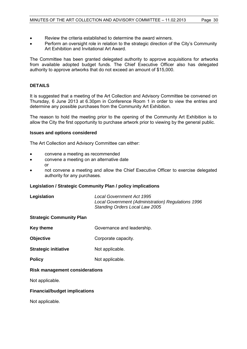- Review the criteria established to determine the award winners.
- Perform an oversight role in relation to the strategic direction of the City's Community Art Exhibition and Invitational Art Award.

The Committee has been granted delegated authority to approve acquisitions for artworks from available adopted budget funds. The Chief Executive Officer also has delegated authority to approve artworks that do not exceed an amount of \$15,000.

#### **DETAILS**

It is suggested that a meeting of the Art Collection and Advisory Committee be convened on Thursday, 6 June 2013 at 6.30pm in Conference Room 1 in order to view the entries and determine any possible purchases from the Community Art Exhibition.

The reason to hold the meeting prior to the opening of the Community Art Exhibition is to allow the City the first opportunity to purchase artwork prior to viewing by the general public.

#### **Issues and options considered**

The Art Collection and Advisory Committee can either:

- convene a meeting as recommended
- convene a meeting on an alternative date or
- not convene a meeting and allow the Chief Executive Officer to exercise delegated authority for any purchases.

#### **Legislation / Strategic Community Plan / policy implications**

| Legislation | Local Government Act 1995                          |
|-------------|----------------------------------------------------|
|             | Local Government (Administration) Regulations 1996 |
|             | <b>Standing Orders Local Law 2005</b>              |

#### **Strategic Community Plan**

- **Key theme** Governance and leadership.
- **Objective** Corporate capacity.
- **Strategic initiative Mot applicable.**
- **Policy** Not applicable.

#### **Risk management considerations**

Not applicable.

#### **Financial/budget implications**

Not applicable.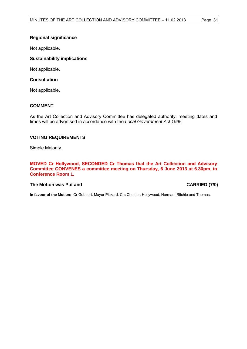#### **Regional significance**

Not applicable.

#### **Sustainability implications**

Not applicable.

#### **Consultation**

Not applicable.

#### **COMMENT**

As the Art Collection and Advisory Committee has delegated authority, meeting dates and times will be advertised in accordance with the *Local Government Act 1995*.

#### **VOTING REQUIREMENTS**

Simple Majority.

**MOVED Cr Hollywood, SECONDED Cr Thomas that the Art Collection and Advisory Committee CONVENES a committee meeting on Thursday, 6 June 2013 at 6.30pm, in Conference Room 1.**

#### **The Motion was Put and CARRIED (7/0)**

**In favour of the Motion:** Cr Gobbert, Mayor Pickard, Crs Chester, Hollywood, Norman, Ritchie and Thomas.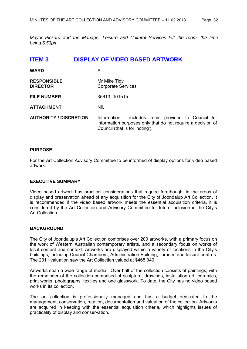*Mayor Pickard and the Manager Leisure and Cultural Services left the room, the time being 6.53pm.* 

<span id="page-31-0"></span>

| <b>ITEM3</b>                          | <b>DISPLAY OF VIDEO BASED ARTWORK</b>                                                                                                                  |
|---------------------------------------|--------------------------------------------------------------------------------------------------------------------------------------------------------|
| <b>WARD</b>                           | All                                                                                                                                                    |
| <b>RESPONSIBLE</b><br><b>DIRECTOR</b> | Mr Mike Tidy<br><b>Corporate Services</b>                                                                                                              |
| <b>FILE NUMBER</b>                    | 35613, 101515                                                                                                                                          |
| <b>ATTACHMENT</b>                     | Nil.                                                                                                                                                   |
| <b>AUTHORITY / DISCRETION</b>         | Information - includes items provided to Council for<br>information purposes only that do not require a decision of<br>Council (that is for 'noting'). |

#### **PURPOSE**

For the Art Collection Advisory Committee to be informed of display options for video based artwork.

#### **EXECUTIVE SUMMARY**

Video based artwork has practical considerations that require forethought in the areas of display and preservation ahead of any acquisition for the City of Joondalup Art Collection. It is recommended if the video based artwork meets the essential acquisition criteria, it is considered by the Art Collection and Advisory Committee for future inclusion in the City's Art Collection.

#### **BACKGROUND**

The City of Joondalup's Art Collection comprises over 200 artworks, with a primary focus on the work of Western Australian contemporary artists, and a secondary focus on works of local content and context. Artworks are displayed within a variety of locations in the City's buildings, including Council Chambers, Administration Building, libraries and leisure centres. The 2011 valuation saw the Art Collection valued at \$465,940.

Artworks span a wide range of media. Over half of the collection consists of paintings, with the remainder of the collection comprised of sculpture, drawings, installation art, ceramics, print works, photographs, textiles and one glasswork. To date, the City has no video based works in its collection.

The art collection is professionally managed and has a budget dedicated to the management, conservation, rotation, documentation and valuation of the collection. Artworks are acquired in keeping with the essential acquisition criteria, which highlights issues of practicality of display and conservation.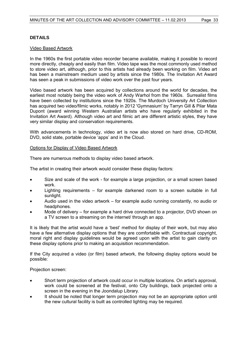#### **DETAILS**

#### Video Based Artwork

In the 1960s the first portable video recorder became available, making it possible to record more directly, cheaply and easily than film. Video tape was the most commonly used method to store video art, although, prior to this artists had already been working on film. Video art has been a mainstream medium used by artists since the 1980s. The Invitation Art Award has seen a peak in submissions of video work over the past four years.

Video based artwork has been acquired by collections around the world for decades, the earliest most notably being the video work of Andy Warhol from the 1960s. Surrealist films have been collected by institutions since the 1920s. The Murdoch University Art Collection has acquired two video/filmic works, notably in 2012 'Gymnasium' by Tarryn Gill & Pilar Mata Dupont (award winning Western Australian artists who have regularly exhibited in the Invitation Art Award). Although video art and filmic art are different artistic styles, they have very similar display and conservation requirements.

With advancements in technology, video art is now also stored on hard drive, CD-ROM, DVD, solid state, portable device 'apps' and in the Cloud.

#### Options for Display of Video Based Artwork

There are numerous methods to display video based artwork.

The artist in creating their artwork would consider these display factors:

- Size and scale of the work for example a large projection, or a small screen based work.
- Lighting requirements for example darkened room to a screen suitable in full sunlight.
- Audio used in the video artwork for example audio running constantly, no audio or headphones.
- Mode of delivery for example a hard drive connected to a projector, DVD shown on a TV screen to a streaming on the internet/ through an app.

It is likely that the artist would have a 'best' method for display of their work, but may also have a few alternative display options that they are comfortable with. Contractual copyright, moral right and display guidelines would be agreed upon with the artist to gain clarity on these display options prior to making an acquisition recommendation.

If the City acquired a video (or film) based artwork, the following display options would be possible:

Projection screen:

- Short term projection of artwork could occur in multiple locations. On artist's approval, work could be screened at the festival, onto City buildings, back projected onto a screen in the evening in the Joondalup Library.
- It should be noted that longer term projection may not be an appropriate option until the new cultural facility is built as controlled lighting may be required.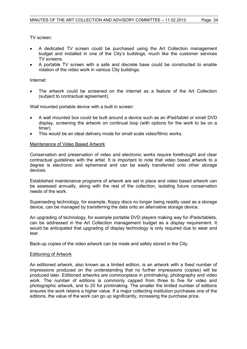TV screen:

- A dedicated TV screen could be purchased using the Art Collection management budget and installed in one of the City's buildings, much like the customer services TV screens.
- A portable TV screen with a safe and discrete base could be constructed to enable rotation of the video work in various City buildings.

#### Internet:

 The artwork could be screened on the internet as a feature of the Art Collection (subject to contractual agreement).

Wall mounted portable device with a built in screen:

- A wall mounted box could be built around a device such as an iPad/tablet or small DVD display, screening the artwork on continual loop (with options for the work to be on a timer).
- This would be an ideal delivery mode for small scale video/filmic works.

#### Maintenance of Video Based Artwork

Conservation and preservation of video and electronic works require forethought and clear contractual guidelines with the artist. It is important to note that video based artwork to a degree is electronic and ephemeral and can be easily transferred onto other storage devices.

Established maintenance programs of artwork are set in place and video based artwork can be assessed annually, along with the rest of the collection, isolating future conservation needs of the work.

Superseding technology, for example, floppy discs no longer being readily used as a storage device, can be managed by transferring the data onto an alternative storage device.

An upgrading of technology, for example portable DVD players making way for iPads/tablets, can be addressed in the Art Collection management budget as a display requirement. It would be anticipated that upgrading of display technology is only required due to wear and tear.

Back-up copies of the video artwork can be made and safely stored in the City.

#### Editioning of Artwork

An editioned artwork, also known as a limited edition, is an artwork with a fixed number of impressions produced on the understanding that no further impressions (copies) will be produced later. Editioned artworks are commonplace in printmaking, photography and video work. The number of editions is commonly capped from three to five for video and photographic artwork, and to 20 for printmaking. The smaller the limited number of editions ensures the work retains a higher value. If a major collecting institution purchases one of the editions, the value of the work can go up significantly, increasing the purchase price.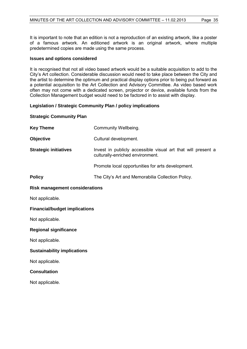It is important to note that an edition is not a reproduction of an existing artwork, like a poster of a famous artwork. An editioned artwork is an original artwork, where multiple predetermined copies are made using the same process.

#### **Issues and options considered**

It is recognised that not all video based artwork would be a suitable acquisition to add to the City's Art collection. Considerable discussion would need to take place between the City and the artist to determine the optimum and practical display options prior to being put forward as a potential acquisition to the Art Collection and Advisory Committee. As video based work often may not come with a dedicated screen, projector or device, available funds from the Collection Management budget would need to be factored in to assist with display.

#### **Legislation / Strategic Community Plan / policy implications**

#### **Strategic Community Plan**

| <b>Key Theme</b>                      | Community Wellbeing.                                                                             |  |
|---------------------------------------|--------------------------------------------------------------------------------------------------|--|
| <b>Objective</b>                      | Cultural development.                                                                            |  |
| <b>Strategic initiatives</b>          | Invest in publicly accessible visual art that will present a<br>culturally-enriched environment. |  |
|                                       | Promote local opportunities for arts development.                                                |  |
| <b>Policy</b>                         | The City's Art and Memorabilia Collection Policy.                                                |  |
| <b>Risk management considerations</b> |                                                                                                  |  |
| Not applicable.                       |                                                                                                  |  |
| <b>Financial/budget implications</b>  |                                                                                                  |  |
| Not applicable.                       |                                                                                                  |  |
| <b>Regional significance</b>          |                                                                                                  |  |
| Not applicable.                       |                                                                                                  |  |
| <b>Sustainability implications</b>    |                                                                                                  |  |
| Not applicable.                       |                                                                                                  |  |
| <b>Consultation</b>                   |                                                                                                  |  |
| Not applicable.                       |                                                                                                  |  |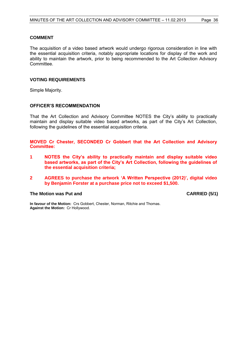#### **COMMENT**

The acquisition of a video based artwork would undergo rigorous consideration in line with the essential acquisition criteria, notably appropriate locations for display of the work and ability to maintain the artwork, prior to being recommended to the Art Collection Advisory Committee.

#### **VOTING REQUIREMENTS**

Simple Majority.

#### **OFFICER'S RECOMMENDATION**

That the Art Collection and Advisory Committee NOTES the City's ability to practically maintain and display suitable video based artworks, as part of the City's Art Collection, following the guidelines of the essential acquisition criteria.

**MOVED Cr Chester, SECONDED Cr Gobbert that the Art Collection and Advisory Committee:**

- **1 NOTES the City's ability to practically maintain and display suitable video based artworks, as part of the City's Art Collection, following the guidelines of the essential acquisition criteria;**
- **2 AGREES to purchase the artwork 'A Written Perspective (2012)', digital video by Benjamin Forster at a purchase price not to exceed \$1,500.**

#### **The Motion was Put and CARRIED (5/1)**

**In favour of the Motion:** Crs Gobbert, Chester, Norman, Ritchie and Thomas. **Against the Motion:** Cr Hollywood.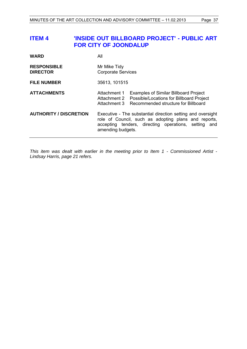## <span id="page-36-0"></span>**ITEM 4 'INSIDE OUT BILLBOARD PROJECT' - PUBLIC ART FOR CITY OF JOONDALUP**

| <b>WARD</b>                           | All                                                                                                                                                                                              |  |
|---------------------------------------|--------------------------------------------------------------------------------------------------------------------------------------------------------------------------------------------------|--|
| <b>RESPONSIBLE</b><br><b>DIRECTOR</b> | Mr Mike Tidy<br><b>Corporate Services</b>                                                                                                                                                        |  |
| <b>FILE NUMBER</b>                    | 35613, 101515                                                                                                                                                                                    |  |
| <b>ATTACHMENTS</b>                    | <b>Examples of Similar Billboard Project</b><br>Attachment 1<br>Possible/Locations for Billboard Project<br>Attachment 2<br>Recommended structure for Billboard<br>Attachment 3                  |  |
| <b>AUTHORITY / DISCRETION</b>         | Executive - The substantial direction setting and oversight<br>role of Council, such as adopting plans and reports,<br>accepting tenders, directing operations, setting and<br>amending budgets. |  |

*This item was dealt with earlier in the meeting prior to Item 1 - Commissioned Artist - Lindsay Harris, page [21](#page-20-0) refers.*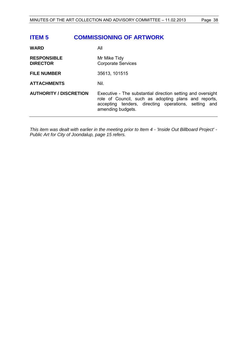## <span id="page-37-0"></span>**ITEM 5 COMMISSIONING OF ARTWORK**

| <b>WARD</b>                           | All                                                                                                                                                                                              |
|---------------------------------------|--------------------------------------------------------------------------------------------------------------------------------------------------------------------------------------------------|
| <b>RESPONSIBLE</b><br><b>DIRECTOR</b> | Mr Mike Tidy<br><b>Corporate Services</b>                                                                                                                                                        |
| <b>FILE NUMBER</b>                    | 35613, 101515                                                                                                                                                                                    |
| <b>ATTACHMENTS</b>                    | Nil.                                                                                                                                                                                             |
| <b>AUTHORITY / DISCRETION</b>         | Executive - The substantial direction setting and oversight<br>role of Council, such as adopting plans and reports,<br>accepting tenders, directing operations, setting and<br>amending budgets. |
|                                       |                                                                                                                                                                                                  |

*This item was dealt with earlier in the meeting prior to Item 4 - 'Inside Out Billboard Project' - Public Art for City of Joondalup, page [15](#page-14-0) refers.*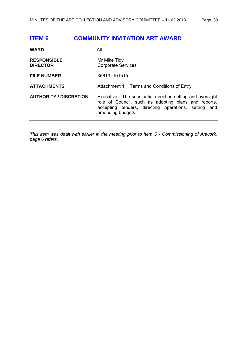## <span id="page-38-0"></span>**ITEM 6 COMMUNITY INVITATION ART AWARD**

| <b>WARD</b>                           | All                                                                                                                                                                                              |
|---------------------------------------|--------------------------------------------------------------------------------------------------------------------------------------------------------------------------------------------------|
| <b>RESPONSIBLE</b><br><b>DIRECTOR</b> | Mr Mike Tidy<br><b>Corporate Services</b>                                                                                                                                                        |
| <b>FILE NUMBER</b>                    | 35613, 101515                                                                                                                                                                                    |
| <b>ATTACHMENTS</b>                    | Attachment 1 Terms and Conditions of Entry                                                                                                                                                       |
| <b>AUTHORITY / DISCRETION</b>         | Executive - The substantial direction setting and oversight<br>role of Council, such as adopting plans and reports,<br>accepting tenders, directing operations, setting and<br>amending budgets. |

*This item was dealt with earlier in the meeting prior to Item 5 - Commissioning of Artwork, page [6](#page-5-1) refers.*